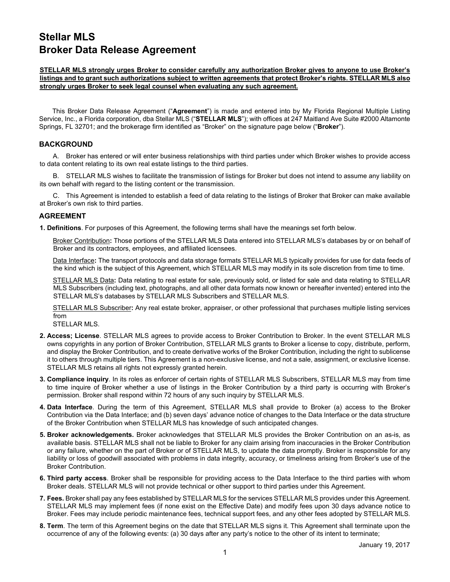## **Stellar MLS Broker Data Release Agreement**

## **STELLAR MLS strongly urges Broker to consider carefully any authorization Broker gives to anyone to use Broker's listings and to grant such authorizations subject to written agreements that protect Broker's rights. STELLAR MLS also strongly urges Broker to seek legal counsel when evaluating any such agreement.**

This Broker Data Release Agreement ("**Agreement**") is made and entered into by My Florida Regional Multiple Listing Service, Inc., a Florida corporation, dba Stellar MLS ("**STELLAR MLS**"); with offices at 247 Maitland Ave Suite #2000 Altamonte Springs, FL 32701; and the brokerage firm identified as "Broker" on the signature page below ("**Broker**").

## **BACKGROUND**

A. Broker has entered or will enter business relationships with third parties under which Broker wishes to provide access to data content relating to its own real estate listings to the third parties.

B. STELLAR MLS wishes to facilitate the transmission of listings for Broker but does not intend to assume any liability on its own behalf with regard to the listing content or the transmission.

C. This Agreement is intended to establish a feed of data relating to the listings of Broker that Broker can make available at Broker's own risk to third parties.

## **AGREEMENT**

**1. Definitions**. For purposes of this Agreement, the following terms shall have the meanings set forth below.

Broker Contribution**:** Those portions of the STELLAR MLS Data entered into STELLAR MLS's databases by or on behalf of Broker and its contractors, employees, and affiliated licensees.

Data Interface**:** The transport protocols and data storage formats STELLAR MLS typically provides for use for data feeds of the kind which is the subject of this Agreement, which STELLAR MLS may modify in its sole discretion from time to time.

STELLAR MLS Data**:** Data relating to real estate for sale, previously sold, or listed for sale and data relating to STELLAR MLS Subscribers (including text, photographs, and all other data formats now known or hereafter invented) entered into the STELLAR MLS's databases by STELLAR MLS Subscribers and STELLAR MLS.

STELLAR MLS Subscriber**:** Any real estate broker, appraiser, or other professional that purchases multiple listing services from

STELLAR MLS.

- **2. Access; License**. STELLAR MLS agrees to provide access to Broker Contribution to Broker. In the event STELLAR MLS owns copyrights in any portion of Broker Contribution, STELLAR MLS grants to Broker a license to copy, distribute, perform, and display the Broker Contribution, and to create derivative works of the Broker Contribution, including the right to sublicense it to others through multiple tiers. This Agreement is a non-exclusive license, and not a sale, assignment, or exclusive license. STELLAR MLS retains all rights not expressly granted herein.
- **3. Compliance inquiry**. In its roles as enforcer of certain rights of STELLAR MLS Subscribers, STELLAR MLS may from time to time inquire of Broker whether a use of listings in the Broker Contribution by a third party is occurring with Broker's permission. Broker shall respond within 72 hours of any such inquiry by STELLAR MLS.
- **4. Data Interface**. During the term of this Agreement, STELLAR MLS shall provide to Broker (a) access to the Broker Contribution via the Data Interface; and (b) seven days' advance notice of changes to the Data Interface or the data structure of the Broker Contribution when STELLAR MLS has knowledge of such anticipated changes.
- **5. Broker acknowledgements.** Broker acknowledges that STELLAR MLS provides the Broker Contribution on an as-is, as available basis. STELLAR MLS shall not be liable to Broker for any claim arising from inaccuracies in the Broker Contribution or any failure, whether on the part of Broker or of STELLAR MLS, to update the data promptly. Broker is responsible for any liability or loss of goodwill associated with problems in data integrity, accuracy, or timeliness arising from Broker's use of the Broker Contribution.
- **6. Third party access**. Broker shall be responsible for providing access to the Data Interface to the third parties with whom Broker deals. STELLAR MLS will not provide technical or other support to third parties under this Agreement.
- **7. Fees.** Broker shall pay any fees established by STELLAR MLS for the services STELLAR MLS provides under this Agreement. STELLAR MLS may implement fees (if none exist on the Effective Date) and modify fees upon 30 days advance notice to Broker. Fees may include periodic maintenance fees, technical support fees, and any other fees adopted by STELLAR MLS.
- **8. Term**. The term of this Agreement begins on the date that STELLAR MLS signs it. This Agreement shall terminate upon the occurrence of any of the following events: (a) 30 days after any party's notice to the other of its intent to terminate;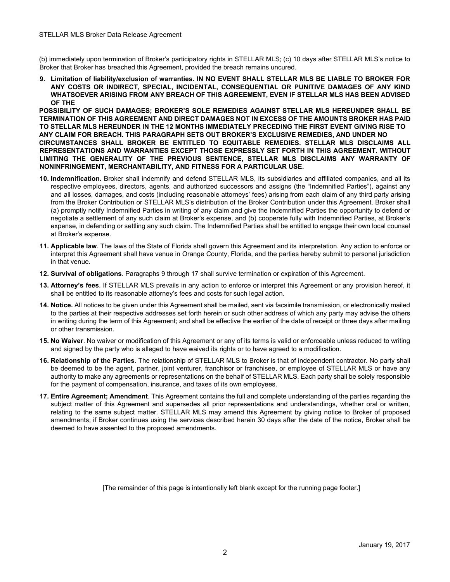(b) immediately upon termination of Broker's participatory rights in STELLAR MLS; (c) 10 days after STELLAR MLS's notice to Broker that Broker has breached this Agreement, provided the breach remains uncured.

**9. Limitation of liability/exclusion of warranties. IN NO EVENT SHALL STELLAR MLS BE LIABLE TO BROKER FOR ANY COSTS OR INDIRECT, SPECIAL, INCIDENTAL, CONSEQUENTIAL OR PUNITIVE DAMAGES OF ANY KIND WHATSOEVER ARISING FROM ANY BREACH OF THIS AGREEMENT, EVEN IF STELLAR MLS HAS BEEN ADVISED OF THE** 

**POSSIBILITY OF SUCH DAMAGES; BROKER'S SOLE REMEDIES AGAINST STELLAR MLS HEREUNDER SHALL BE TERMINATION OF THIS AGREEMENT AND DIRECT DAMAGES NOT IN EXCESS OF THE AMOUNTS BROKER HAS PAID TO STELLAR MLS HEREUNDER IN THE 12 MONTHS IMMEDIATELY PRECEDING THE FIRST EVENT GIVING RISE TO ANY CLAIM FOR BREACH. THIS PARAGRAPH SETS OUT BROKER'S EXCLUSIVE REMEDIES, AND UNDER NO CIRCUMSTANCES SHALL BROKER BE ENTITLED TO EQUITABLE REMEDIES. STELLAR MLS DISCLAIMS ALL REPRESENTATIONS AND WARRANTIES EXCEPT THOSE EXPRESSLY SET FORTH IN THIS AGREEMENT. WITHOUT LIMITING THE GENERALITY OF THE PREVIOUS SENTENCE, STELLAR MLS DISCLAIMS ANY WARRANTY OF NONINFRINGEMENT, MERCHANTABILITY, AND FITNESS FOR A PARTICULAR USE.**

- **10. Indemnification.** Broker shall indemnify and defend STELLAR MLS, its subsidiaries and affiliated companies, and all its respective employees, directors, agents, and authorized successors and assigns (the "Indemnified Parties"), against any and all losses, damages, and costs (including reasonable attorneys' fees) arising from each claim of any third party arising from the Broker Contribution or STELLAR MLS's distribution of the Broker Contribution under this Agreement. Broker shall (a) promptly notify Indemnified Parties in writing of any claim and give the Indemnified Parties the opportunity to defend or negotiate a settlement of any such claim at Broker's expense, and (b) cooperate fully with Indemnified Parties, at Broker's expense, in defending or settling any such claim. The Indemnified Parties shall be entitled to engage their own local counsel at Broker's expense.
- **11. Applicable law**. The laws of the State of Florida shall govern this Agreement and its interpretation. Any action to enforce or interpret this Agreement shall have venue in Orange County, Florida, and the parties hereby submit to personal jurisdiction in that venue.
- **12. Survival of obligations**. Paragraphs 9 through 17 shall survive termination or expiration of this Agreement.
- **13. Attorney's fees**. If STELLAR MLS prevails in any action to enforce or interpret this Agreement or any provision hereof, it shall be entitled to its reasonable attorney's fees and costs for such legal action.
- **14. Notice.** All notices to be given under this Agreement shall be mailed, sent via facsimile transmission, or electronically mailed to the parties at their respective addresses set forth herein or such other address of which any party may advise the others in writing during the term of this Agreement; and shall be effective the earlier of the date of receipt or three days after mailing or other transmission.
- **15. No Waiver**. No waiver or modification of this Agreement or any of its terms is valid or enforceable unless reduced to writing and signed by the party who is alleged to have waived its rights or to have agreed to a modification.
- **16. Relationship of the Parties**. The relationship of STELLAR MLS to Broker is that of independent contractor. No party shall be deemed to be the agent, partner, joint venturer, franchisor or franchisee, or employee of STELLAR MLS or have any authority to make any agreements or representations on the behalf of STELLAR MLS. Each party shall be solely responsible for the payment of compensation, insurance, and taxes of its own employees.
- **17. Entire Agreement; Amendment**. This Agreement contains the full and complete understanding of the parties regarding the subject matter of this Agreement and supersedes all prior representations and understandings, whether oral or written, relating to the same subject matter. STELLAR MLS may amend this Agreement by giving notice to Broker of proposed amendments; if Broker continues using the services described herein 30 days after the date of the notice, Broker shall be deemed to have assented to the proposed amendments.

[The remainder of this page is intentionally left blank except for the running page footer.]